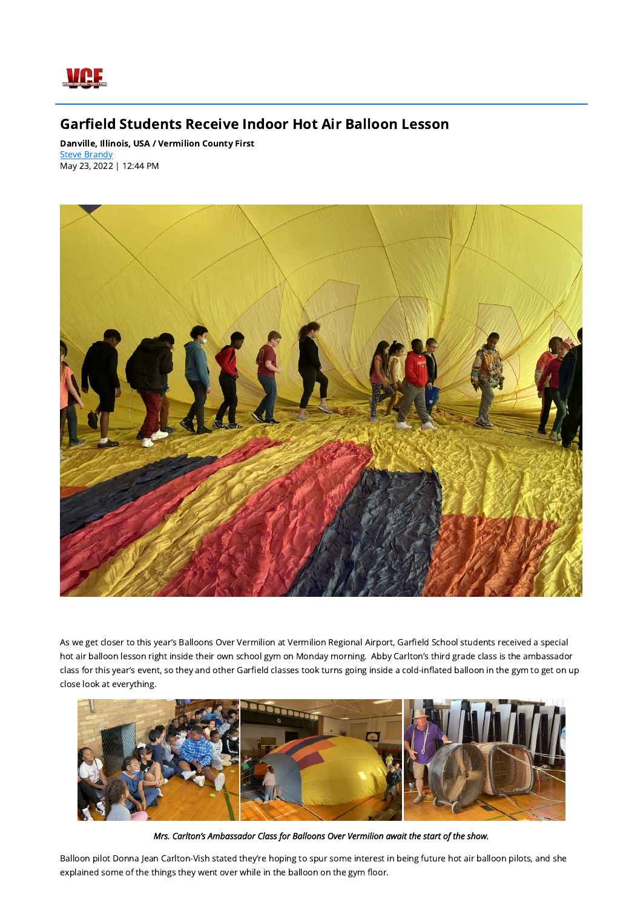

## Garfield Students Receive Indoor Hot Air Balloon Lesson

Danville, Illinois, USA / Vermilion County First **Steve [Brandy](mailto:stevebrandy@neuhoffmedia.com)** May 23, 2022 | 12:44 PM



As we get closer to this year's Balloons Over Vermilion at Vermilion Regional Airport, Garfield School students received a special hot air balloon lesson right inside their own school gym on Monday morning. Abby Carlton's third grade class is the ambassador class for this year's event, so they and other Garfield classes took turns going inside a cold-inflated balloon in the gym to get on up close look at everything.



## Mrs. Carlton's Ambassador Class for Balloons Over Vermilion await the start of the show.

Balloon pilot Donna Jean Carlton-Vish stated they're hoping to spur some interest in being future hot air balloon pilots, and she explained some of the things they went over while in the balloon on the gym floor.